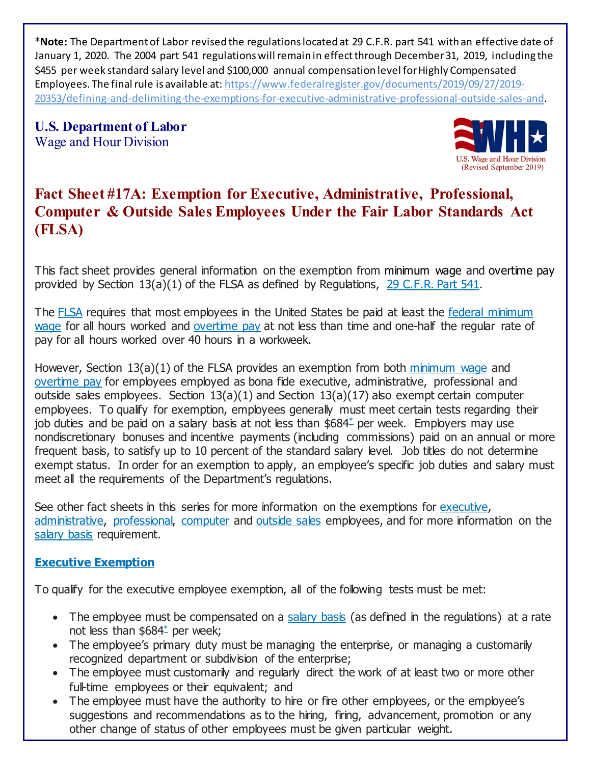\***Note:** The Department of Labor revised the regulations located at 29 C.F.R. part 541 with an effective date of January 1, 2020. The 2004 part 541 regulations will remain in effect through December 31, 2019, including the \$455 per week standard salary level and \$100,000 annual compensation level for Highly Compensated Employees. The final rule is available at: [https://www.federalregister.gov/documents/2019/09/27/2019-](https://www.federalregister.gov/documents/2019/09/27/2019-20353/defining-and-delimiting-the-exemptions-for-executive-administrative-professional-outside-sales-and) [20353/defining-and-delimiting-the-exemptions-for-executive-administrative-professional-outside-sales-and](https://www.federalregister.gov/documents/2019/09/27/2019-20353/defining-and-delimiting-the-exemptions-for-executive-administrative-professional-outside-sales-and).

**U.S. Department of Labor**  Wage and Hour Division



# **Fact Sheet #17A: Exemption for Executive, Administrative, Professional, Computer & Outside Sales Employees Under the Fair Labor Standards Act (FLSA)**

This fact sheet provides general information on the exemption from minimum wage and overtime pay provided by Section 13(a)(1) of the FLSA as defined by Regulations, [29 C.F.R. Part 541.](https://www.ecfr.gov/cgi-bin/text-idx?SID=62e63b2a9c9a27781cf6af25feb88d8b&mc=true&node=pt29.3.541&rgn=div5)

The [FLSA](https://www.dol.gov/whd/flsa/index.htm) requires that most employees in the United States be paid at least the [federal minimum](https://www.dol.gov/WHD/minimumwage.htm)  [wage](https://www.dol.gov/WHD/minimumwage.htm) for all hours worked and [overtime pay](https://www.dol.gov/whd/overtime_pay.htm) at not less than time and one-half the regular rate of pay for all hours worked over 40 hours in a workweek.

However, Section 13(a)(1) of the FLSA provides an exemption from both [minimum wage](https://www.dol.gov/WHD/minimumwage.htm) and [overtime pay](https://www.dol.gov/whd/overtime_pay.htm) for employees employed as bona fide executive, administrative, professional and outside sales employees. Section  $13(a)(1)$  and Section  $13(a)(17)$  also exempt certain computer employees. To qualify for exemption, employees generally must meet certain tests regarding their job duties and be paid on a salary basis at not less than \$68[4\\*](https://www.dol.gov/whd/overtime/fs17a_overview.htm#footnoteOvertime) per week. Employers may use nondiscretionary bonuses and incentive payments (including commissions) paid on an annual or more frequent basis, to satisfy up to 10 percent of the standard salary level. Job titles do not determine exempt status. In order for an exemption to apply, an employee's specific job duties and salary must meet all the requirements of the Department's regulations.

See other fact sheets in this series for more information on the exemptions for [executive,](https://www.dol.gov/whd/overtime/fs17b_executive.pdf) [administrative,](https://www.dol.gov/whd/overtime/fs17c_administrative.pdf) [professional,](https://www.dol.gov/whd/overtime/fs17d_professional.pdf) [computer](https://www.dol.gov/whd/overtime/fs17e_computer.pdf) and [outside sales](https://www.dol.gov/whd/overtime/fs17f_outsidesales.pdf) employees, and for more information on the [salary basis](https://www.dol.gov/whd/overtime/fs17g_salary.pdf) requirement.

# **[Executive Exemption](https://www.dol.gov/whd/overtime/fs17b_executive.pdf)**

To qualify for the executive employee exemption, all of the following tests must be met:

- The employee must be compensated on a [salary basis](https://www.dol.gov/whd/overtime/fs17g_salary.pdf) (as defined in the regulations) at a rate not less than \$684<sup>\*</sup> per week;
- The employee's primary duty must be managing the enterprise, or managing a customarily recognized department or subdivision of the enterprise;
- The employee must customarily and regularly direct the work of at least two or more other full-time employees or their equivalent; and
- The employee must have the authority to hire or fire other employees, or the employee's suggestions and recommendations as to the hiring, firing, advancement, promotion or any other change of status of other employees must be given particular weight.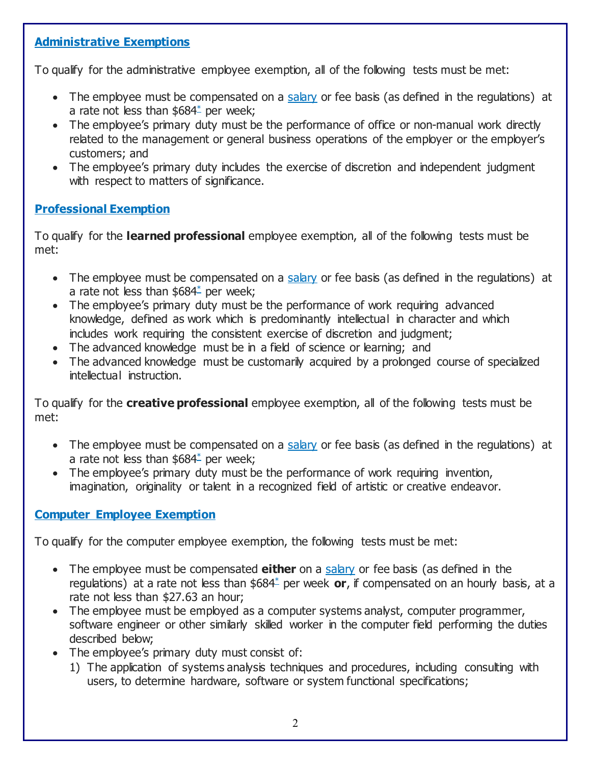# **[Administrative Exemptions](https://www.dol.gov/whd/overtime/fs17c_administrative.pdf)**

To qualify for the administrative employee exemption, all of the following tests must be met:

- The employee must be compensated on a [salary](https://www.dol.gov/whd/overtime/fs17g_salary.pdf) or fee basis (as defined in the regulations) at a rate not less than  $$684<sup>*</sup>$  per week;
- The employee's primary duty must be the performance of office or non-manual work directly related to the management or general business operations of the employer or the employer's customers; and
- The employee's primary duty includes the exercise of discretion and independent judgment with respect to matters of significance.

# **[Professional Exemption](https://www.dol.gov/whd/overtime/fs17d_professional.pdf)**

To qualify for the **learned professional** employee exemption, all of the following tests must be met:

- The employee must be compensated on a [salary](https://www.dol.gov/whd/overtime/fs17g_salary.pdf) or fee basis (as defined in the regulations) at a rate not less than  $$684<sup>*</sup>$  per week;
- The employee's primary duty must be the performance of work requiring advanced knowledge, defined as work which is predominantly intellectual in character and which includes work requiring the consistent exercise of discretion and judgment;
- The advanced knowledge must be in a field of science or learning; and
- The advanced knowledge must be customarily acquired by a prolonged course of specialized intellectual instruction.

To qualify for the **creative professional** employee exemption, all of the following tests must be met:

- The employee must be compensated on a [salary](https://www.dol.gov/whd/overtime/fs17g_salary.pdf) or fee basis (as defined in the regulations) at a rate not less than  $$684<sup>*</sup>$  per week;
- The employee's primary duty must be the performance of work requiring invention, imagination, originality or talent in a recognized field of artistic or creative endeavor.

# **[Computer Employee Exemption](https://www.dol.gov/whd/overtime/fs17e_computer.pdf)**

To qualify for the computer employee exemption, the following tests must be met:

- The employee must be compensated **either** on a [salary](https://www.dol.gov/whd/overtime/fs17g_salary.pdf) or fee basis (as defined in the regulations) at a rate not less than \$68[4\\*](https://www.dol.gov/whd/overtime/fs17a_overview.htm#footnoteOvertime) per week **or**, if compensated on an hourly basis, at a rate not less than \$27.63 an hour;
- The employee must be employed as a computer systems analyst, computer programmer, software engineer or other similarly skilled worker in the computer field performing the duties described below;
- The employee's primary duty must consist of:
	- 1) The application of systems analysis techniques and procedures, including consulting with users, to determine hardware, software or system functional specifications;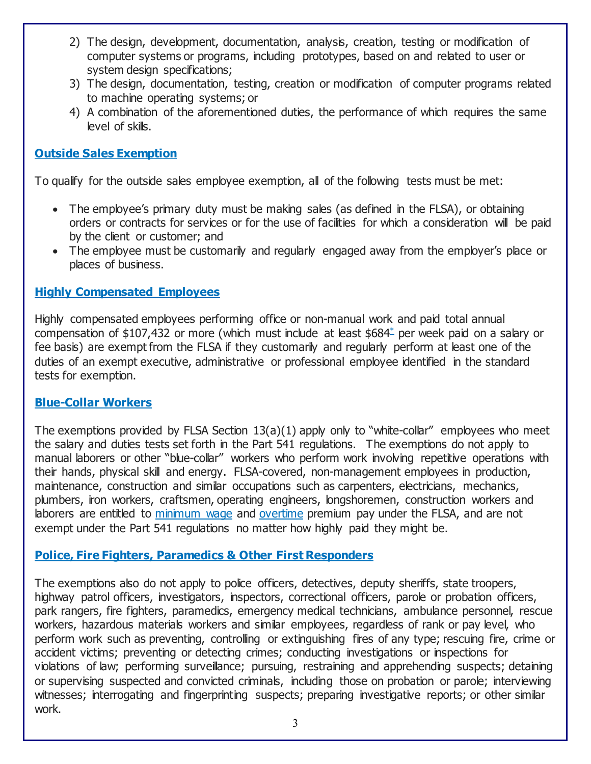- 2) The design, development, documentation, analysis, creation, testing or modification of computer systems or programs, including prototypes, based on and related to user or system design specifications;
- 3) The design, documentation, testing, creation or modification of computer programs related to machine operating systems; or
- 4) A combination of the aforementioned duties, the performance of which requires the same level of skills.

### **[Outside Sales Exemption](https://www.dol.gov/whd/overtime/fs17f_outsidesales.pdf)**

To qualify for the outside sales employee exemption, all of the following tests must be met:

- The employee's primary duty must be making sales (as defined in the FLSA), or obtaining orders or contracts for services or for the use of facilities for which a consideration will be paid by the client or customer; and
- The employee must be customarily and regularly engaged away from the employer's place or places of business.

#### **[Highly Compensated Employees](https://www.dol.gov/whd/overtime/fs17h_highly_comp.pdf)**

Highly compensated employees performing office or non-manual work and paid total annual compensation of \$107,432 or more (which must include at least \$68[4\\*](https://www.dol.gov/whd/overtime/fs17a_overview.htm#footnoteOvertime) per week paid on a salary or fee basis) are exempt from the FLSA if they customarily and regularly perform at least one of the duties of an exempt executive, administrative or professional employee identified in the standard tests for exemption.

#### **[Blue-Collar Workers](https://www.dol.gov/whd/overtime/fs17i_blue_collar.pdf)**

The exemptions provided by FLSA Section 13(a)(1) apply only to "white-collar" employees who meet the salary and duties tests set forth in the Part 541 regulations. The exemptions do not apply to manual laborers or other "blue-collar" workers who perform work involving repetitive operations with their hands, physical skill and energy. FLSA-covered, non-management employees in production, maintenance, construction and similar occupations such as carpenters, electricians, mechanics, plumbers, iron workers, craftsmen, operating engineers, longshoremen, construction workers and laborers are entitled to [minimum wage](https://www.dol.gov/WHD/minimumwage.htm) and [overtime](https://www.dol.gov/whd/overtime_pay.htm) premium pay under the FLSA, and are not exempt under the Part 541 regulations no matter how highly paid they might be.

#### **[Police, Fire Fighters, Paramedics & Other First Responders](https://www.dol.gov/whd/overtime/fs17j_first_responders.pdf)**

The exemptions also do not apply to police officers, detectives, deputy sheriffs, state troopers, highway patrol officers, investigators, inspectors, correctional officers, parole or probation officers, park rangers, fire fighters, paramedics, emergency medical technicians, ambulance personnel, rescue workers, hazardous materials workers and similar employees, regardless of rank or pay level, who perform work such as preventing, controlling or extinguishing fires of any type; rescuing fire, crime or accident victims; preventing or detecting crimes; conducting investigations or inspections for violations of law; performing surveillance; pursuing, restraining and apprehending suspects; detaining or supervising suspected and convicted criminals, including those on probation or parole; interviewing witnesses; interrogating and fingerprinting suspects; preparing investigative reports; or other similar work.